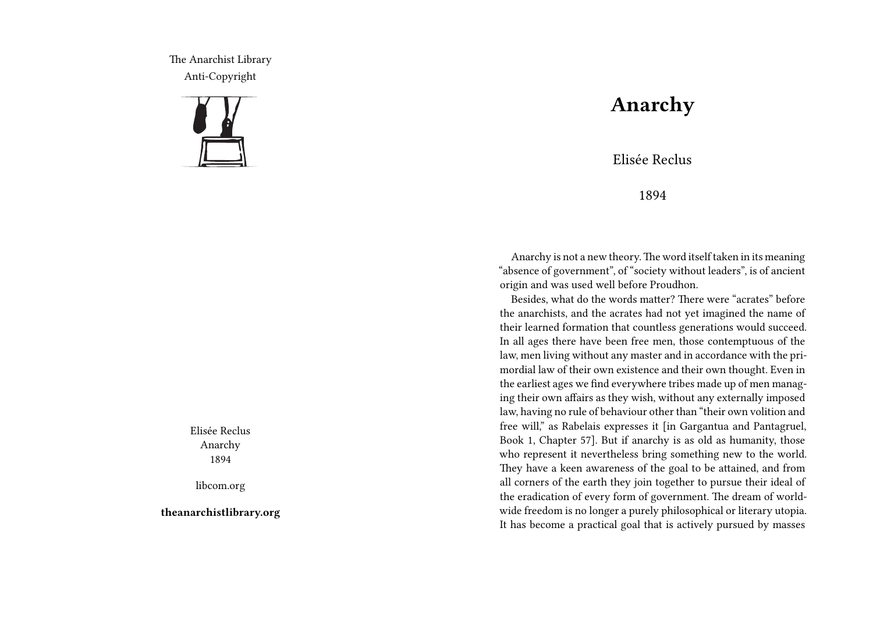The Anarchist Library Anti-Copyright



Elisée Reclus Anarchy 1894

libcom.org

**theanarchistlibrary.org**

## **Anarchy**

Elisée Reclus

1894

Anarchy is not a new theory.The word itself taken in its meaning "absence of government", of "society without leaders", is of ancient origin and was used well before Proudhon.

Besides, what do the words matter? There were "acrates" before the anarchists, and the acrates had not yet imagined the name of their learned formation that countless generations would succeed. In all ages there have been free men, those contemptuous of the law, men living without any master and in accordance with the primordial law of their own existence and their own thought. Even in the earliest ages we find everywhere tribes made up of men managing their own affairs as they wish, without any externally imposed law, having no rule of behaviour other than "their own volition and free will," as Rabelais expresses it [in Gargantua and Pantagruel, Book 1, Chapter 57]. But if anarchy is as old as humanity, those who represent it nevertheless bring something new to the world. They have a keen awareness of the goal to be attained, and from all corners of the earth they join together to pursue their ideal of the eradication of every form of government. The dream of worldwide freedom is no longer a purely philosophical or literary utopia. It has become a practical goal that is actively pursued by masses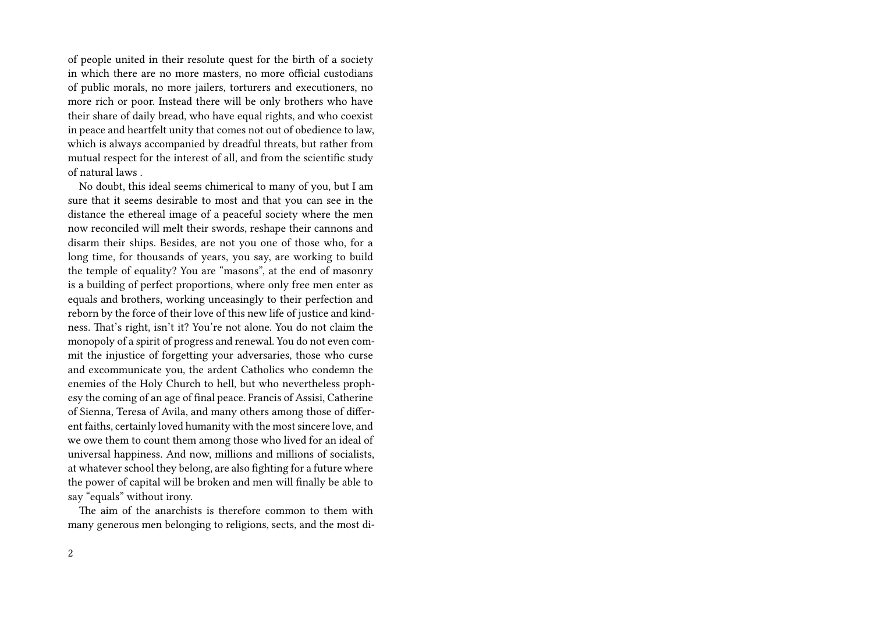of people united in their resolute quest for the birth of a society in which there are no more masters, no more official custodians of public morals, no more jailers, torturers and executioners, no more rich or poor. Instead there will be only brothers who have their share of daily bread, who have equal rights, and who coexist in peace and heartfelt unity that comes not out of obedience to law, which is always accompanied by dreadful threats, but rather from mutual respect for the interest of all, and from the scientific study of natural laws .

No doubt, this ideal seems chimerical to many of you, but I am sure that it seems desirable to most and that you can see in the distance the ethereal image of a peaceful society where the men now reconciled will melt their swords, reshape their cannons and disarm their ships. Besides, are not you one of those who, for a long time, for thousands of years, you say, are working to build the temple of equality? You are "masons", at the end of masonry is a building of perfect proportions, where only free men enter as equals and brothers, working unceasingly to their perfection and reborn by the force of their love of this new life of justice and kindness. That's right, isn't it? You're not alone. You do not claim the monopoly of a spirit of progress and renewal. You do not even commit the injustice of forgetting your adversaries, those who curse and excommunicate you, the ardent Catholics who condemn the enemies of the Holy Church to hell, but who nevertheless prophesy the coming of an age of final peace. Francis of Assisi, Catherine of Sienna, Teresa of Avila, and many others among those of different faiths, certainly loved humanity with the most sincere love, and we owe them to count them among those who lived for an ideal of universal happiness. And now, millions and millions of socialists, at whatever school they belong, are also fighting for a future where the power of capital will be broken and men will finally be able to say "equals" without irony.

The aim of the anarchists is therefore common to them with many generous men belonging to religions, sects, and the most di-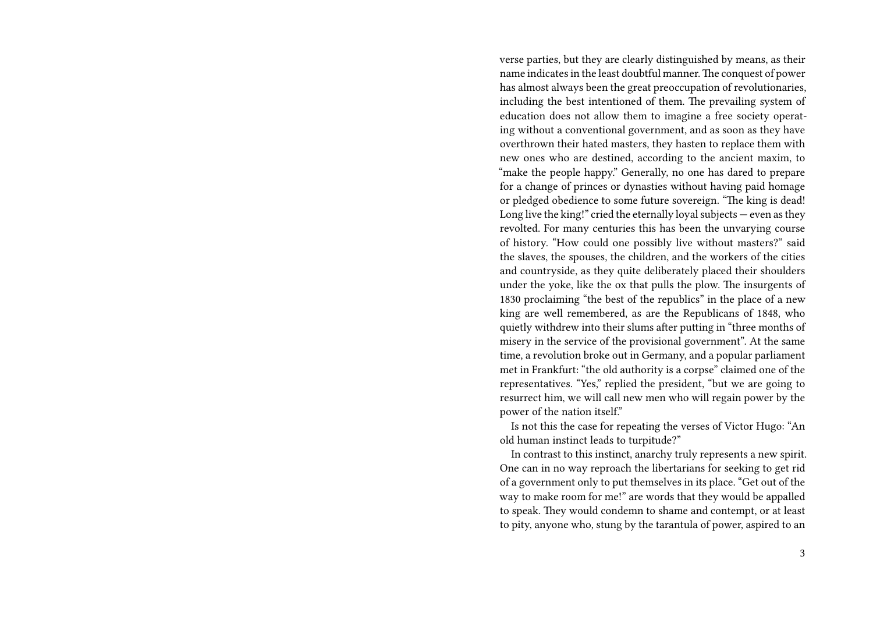verse parties, but they are clearly distinguished by means, as their name indicates in the least doubtful manner.The conquest of power has almost always been the great preoccupation of revolutionaries, including the best intentioned of them. The prevailing system of education does not allow them to imagine a free society operating without a conventional government, and as soon as they have overthrown their hated masters, they hasten to replace them with new ones who are destined, according to the ancient maxim, to "make the people happy." Generally, no one has dared to prepare for a change of princes or dynasties without having paid homage or pledged obedience to some future sovereign. "The king is dead! Long live the king!" cried the eternally loyal subjects  $-$  even as they revolted. For many centuries this has been the unvarying course of history. "How could one possibly live without masters?" said the slaves, the spouses, the children, and the workers of the cities and countryside, as they quite deliberately placed their shoulders under the yoke, like the ox that pulls the plow. The insurgents of 1830 proclaiming "the best of the republics" in the place of a new king are well remembered, as are the Republicans of 1848, who quietly withdrew into their slums after putting in "three months of misery in the service of the provisional government". At the same time, a revolution broke out in Germany, and a popular parliament met in Frankfurt: "the old authority is a corpse" claimed one of the representatives. "Yes," replied the president, "but we are going to resurrect him, we will call new men who will regain power by the power of the nation itself."

Is not this the case for repeating the verses of Victor Hugo: "An old human instinct leads to turpitude?"

In contrast to this instinct, anarchy truly represents a new spirit. One can in no way reproach the libertarians for seeking to get rid of a government only to put themselves in its place. "Get out of the way to make room for me!" are words that they would be appalled to speak. They would condemn to shame and contempt, or at least to pity, anyone who, stung by the tarantula of power, aspired to an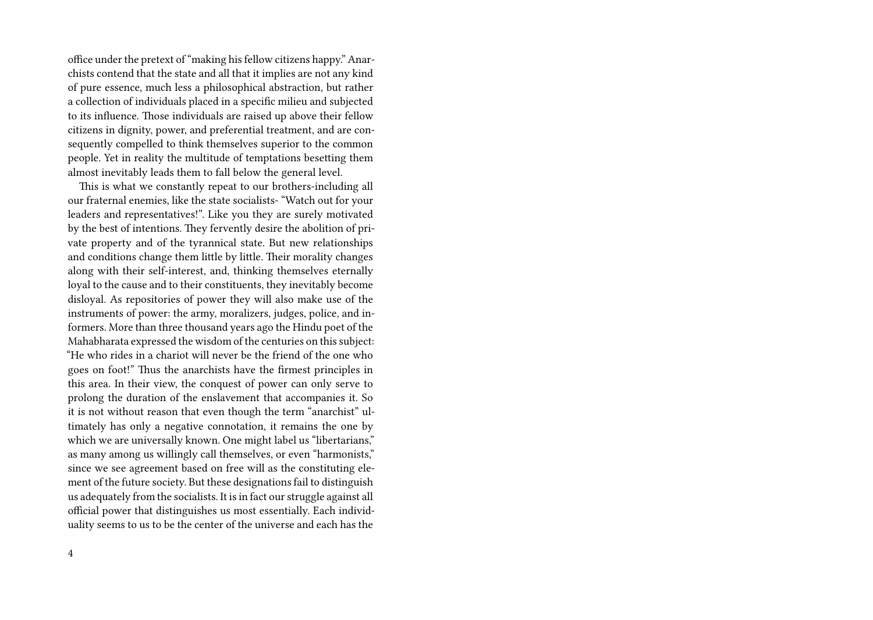office under the pretext of "making his fellow citizens happy." Anarchists contend that the state and all that it implies are not any kind of pure essence, much less a philosophical abstraction, but rather a collection of individuals placed in a specific milieu and subjected to its influence. Those individuals are raised up above their fellow citizens in dignity, power, and preferential treatment, and are consequently compelled to think themselves superior to the common people. Yet in reality the multitude of temptations besetting them almost inevitably leads them to fall below the general level.

This is what we constantly repeat to our brothers-including all our fraternal enemies, like the state socialists- "Watch out for your leaders and representatives!". Like you they are surely motivated by the best of intentions. They fervently desire the abolition of private property and of the tyrannical state. But new relationships and conditions change them little by little. Their morality changes along with their self-interest, and, thinking themselves eternally loyal to the cause and to their constituents, they inevitably become disloyal. As repositories of power they will also make use of the instruments of power: the army, moralizers, judges, police, and informers. More than three thousand years ago the Hindu poet of the Mahabharata expressed the wisdom of the centuries on this subject: "He who rides in a chariot will never be the friend of the one who goes on foot!" Thus the anarchists have the firmest principles in this area. In their view, the conquest of power can only serve to prolong the duration of the enslavement that accompanies it. So it is not without reason that even though the term "anarchist" ultimately has only a negative connotation, it remains the one by which we are universally known. One might label us "libertarians," as many among us willingly call themselves, or even "harmonists," since we see agreement based on free will as the constituting element of the future society. But these designations fail to distinguish us adequately from the socialists. It is in fact our struggle against all official power that distinguishes us most essentially. Each individuality seems to us to be the center of the universe and each has the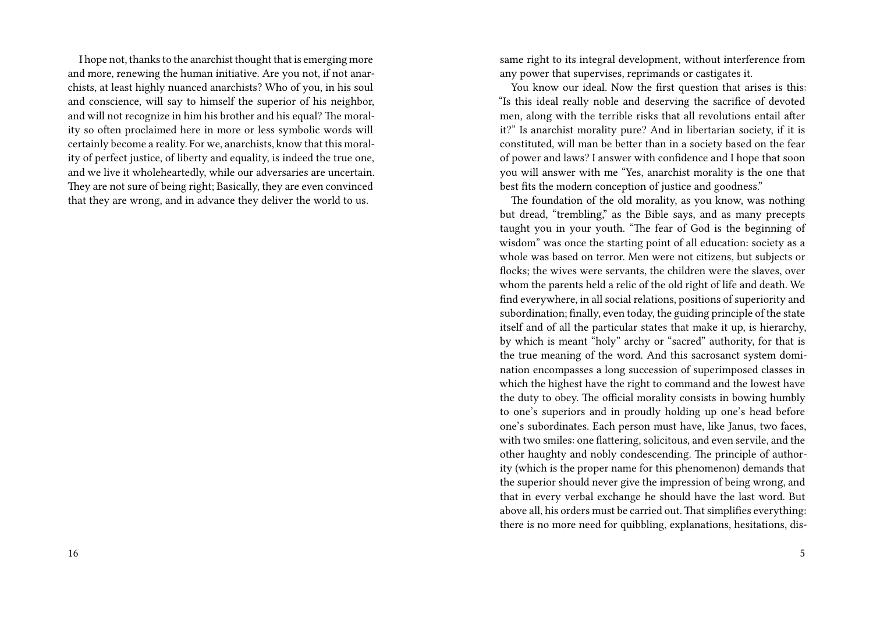I hope not, thanks to the anarchist thought that is emerging more and more, renewing the human initiative. Are you not, if not anarchists, at least highly nuanced anarchists? Who of you, in his soul and conscience, will say to himself the superior of his neighbor, and will not recognize in him his brother and his equal? The morality so often proclaimed here in more or less symbolic words will certainly become a reality. For we, anarchists, know that this morality of perfect justice, of liberty and equality, is indeed the true one, and we live it wholeheartedly, while our adversaries are uncertain. They are not sure of being right; Basically, they are even convinced that they are wrong, and in advance they deliver the world to us.

same right to its integral development, without interference from any power that supervises, reprimands or castigates it.

You know our ideal. Now the first question that arises is this: "Is this ideal really noble and deserving the sacrifice of devoted men, along with the terrible risks that all revolutions entail after it?" Is anarchist morality pure? And in libertarian society, if it is constituted, will man be better than in a society based on the fear of power and laws? I answer with confidence and I hope that soon you will answer with me "Yes, anarchist morality is the one that best fits the modern conception of justice and goodness."

The foundation of the old morality, as you know, was nothing but dread, "trembling," as the Bible says, and as many precepts taught you in your youth. "The fear of God is the beginning of wisdom" was once the starting point of all education: society as a whole was based on terror. Men were not citizens, but subjects or flocks; the wives were servants, the children were the slaves, over whom the parents held a relic of the old right of life and death. We find everywhere, in all social relations, positions of superiority and subordination; finally, even today, the guiding principle of the state itself and of all the particular states that make it up, is hierarchy, by which is meant "holy" archy or "sacred" authority, for that is the true meaning of the word. And this sacrosanct system domination encompasses a long succession of superimposed classes in which the highest have the right to command and the lowest have the duty to obey. The official morality consists in bowing humbly to one's superiors and in proudly holding up one's head before one's subordinates. Each person must have, like Janus, two faces, with two smiles: one flattering, solicitous, and even servile, and the other haughty and nobly condescending. The principle of authority (which is the proper name for this phenomenon) demands that the superior should never give the impression of being wrong, and that in every verbal exchange he should have the last word. But above all, his orders must be carried out. That simplifies everything: there is no more need for quibbling, explanations, hesitations, dis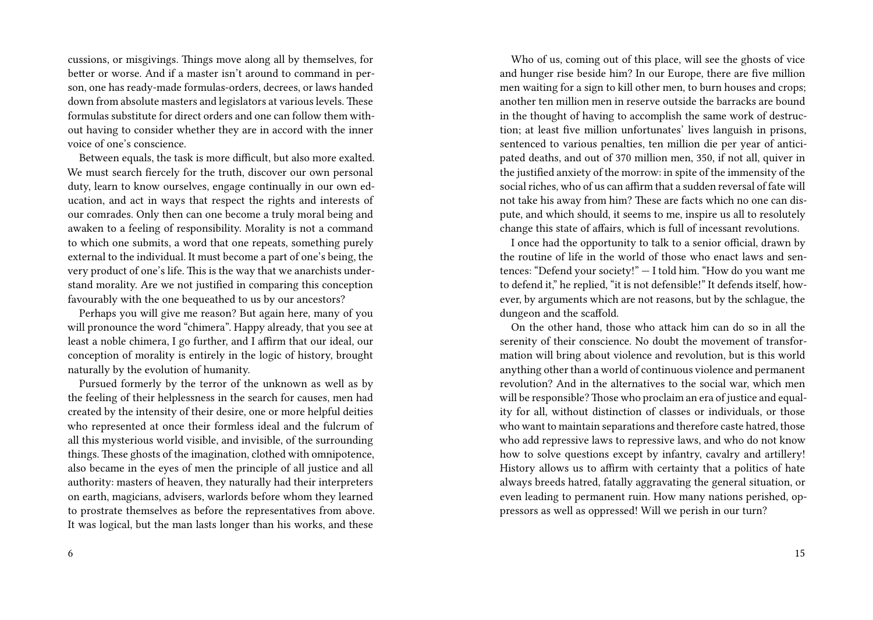cussions, or misgivings. Things move along all by themselves, for better or worse. And if a master isn't around to command in person, one has ready-made formulas-orders, decrees, or laws handed down from absolute masters and legislators at various levels. These formulas substitute for direct orders and one can follow them without having to consider whether they are in accord with the inner voice of one's conscience.

Between equals, the task is more difficult, but also more exalted. We must search fiercely for the truth, discover our own personal duty, learn to know ourselves, engage continually in our own education, and act in ways that respect the rights and interests of our comrades. Only then can one become a truly moral being and awaken to a feeling of responsibility. Morality is not a command to which one submits, a word that one repeats, something purely external to the individual. It must become a part of one's being, the very product of one's life. This is the way that we anarchists understand morality. Are we not justified in comparing this conception favourably with the one bequeathed to us by our ancestors?

Perhaps you will give me reason? But again here, many of you will pronounce the word "chimera". Happy already, that you see at least a noble chimera, I go further, and I affirm that our ideal, our conception of morality is entirely in the logic of history, brought naturally by the evolution of humanity.

Pursued formerly by the terror of the unknown as well as by the feeling of their helplessness in the search for causes, men had created by the intensity of their desire, one or more helpful deities who represented at once their formless ideal and the fulcrum of all this mysterious world visible, and invisible, of the surrounding things. These ghosts of the imagination, clothed with omnipotence, also became in the eyes of men the principle of all justice and all authority: masters of heaven, they naturally had their interpreters on earth, magicians, advisers, warlords before whom they learned to prostrate themselves as before the representatives from above. It was logical, but the man lasts longer than his works, and these

Who of us, coming out of this place, will see the ghosts of vice and hunger rise beside him? In our Europe, there are five million men waiting for a sign to kill other men, to burn houses and crops; another ten million men in reserve outside the barracks are bound in the thought of having to accomplish the same work of destruction; at least five million unfortunates' lives languish in prisons, sentenced to various penalties, ten million die per year of anticipated deaths, and out of 370 million men, 350, if not all, quiver in the justified anxiety of the morrow: in spite of the immensity of the social riches, who of us can affirm that a sudden reversal of fate will not take his away from him? These are facts which no one can dispute, and which should, it seems to me, inspire us all to resolutely change this state of affairs, which is full of incessant revolutions.

I once had the opportunity to talk to a senior official, drawn by the routine of life in the world of those who enact laws and sentences: "Defend your society!" — I told him. "How do you want me to defend it," he replied, "it is not defensible!" It defends itself, however, by arguments which are not reasons, but by the schlague, the dungeon and the scaffold.

On the other hand, those who attack him can do so in all the serenity of their conscience. No doubt the movement of transformation will bring about violence and revolution, but is this world anything other than a world of continuous violence and permanent revolution? And in the alternatives to the social war, which men will be responsible? Those who proclaim an era of justice and equality for all, without distinction of classes or individuals, or those who want to maintain separations and therefore caste hatred, those who add repressive laws to repressive laws, and who do not know how to solve questions except by infantry, cavalry and artillery! History allows us to affirm with certainty that a politics of hate always breeds hatred, fatally aggravating the general situation, or even leading to permanent ruin. How many nations perished, oppressors as well as oppressed! Will we perish in our turn?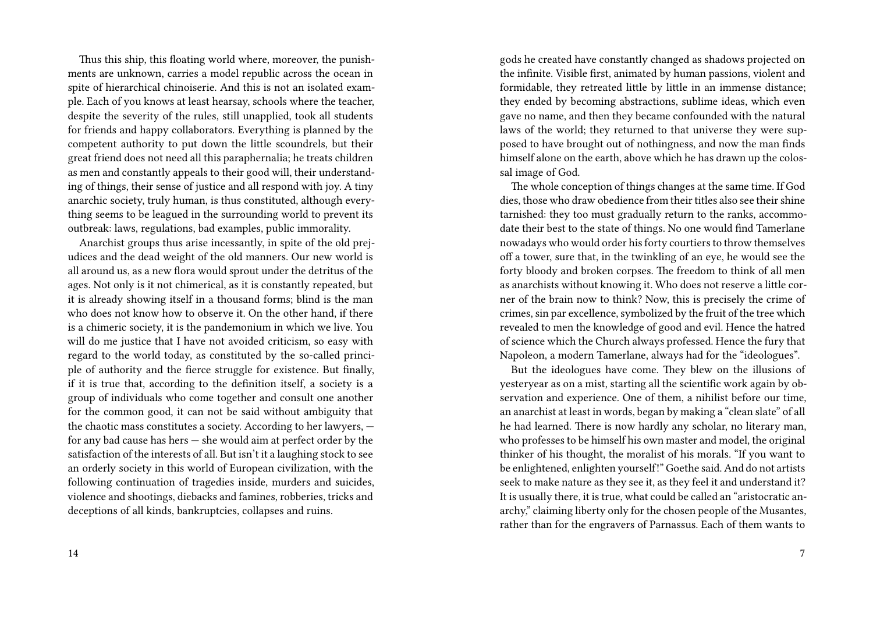Thus this ship, this floating world where, moreover, the punishments are unknown, carries a model republic across the ocean in spite of hierarchical chinoiserie. And this is not an isolated example. Each of you knows at least hearsay, schools where the teacher, despite the severity of the rules, still unapplied, took all students for friends and happy collaborators. Everything is planned by the competent authority to put down the little scoundrels, but their great friend does not need all this paraphernalia; he treats children as men and constantly appeals to their good will, their understanding of things, their sense of justice and all respond with joy. A tiny anarchic society, truly human, is thus constituted, although everything seems to be leagued in the surrounding world to prevent its outbreak: laws, regulations, bad examples, public immorality.

Anarchist groups thus arise incessantly, in spite of the old prejudices and the dead weight of the old manners. Our new world is all around us, as a new flora would sprout under the detritus of the ages. Not only is it not chimerical, as it is constantly repeated, but it is already showing itself in a thousand forms; blind is the man who does not know how to observe it. On the other hand, if there is a chimeric society, it is the pandemonium in which we live. You will do me justice that I have not avoided criticism, so easy with regard to the world today, as constituted by the so-called principle of authority and the fierce struggle for existence. But finally, if it is true that, according to the definition itself, a society is a group of individuals who come together and consult one another for the common good, it can not be said without ambiguity that the chaotic mass constitutes a society. According to her lawyers, for any bad cause has hers — she would aim at perfect order by the satisfaction of the interests of all. But isn't it a laughing stock to see an orderly society in this world of European civilization, with the following continuation of tragedies inside, murders and suicides, violence and shootings, diebacks and famines, robberies, tricks and deceptions of all kinds, bankruptcies, collapses and ruins.

14

gods he created have constantly changed as shadows projected on the infinite. Visible first, animated by human passions, violent and formidable, they retreated little by little in an immense distance; they ended by becoming abstractions, sublime ideas, which even gave no name, and then they became confounded with the natural laws of the world; they returned to that universe they were supposed to have brought out of nothingness, and now the man finds himself alone on the earth, above which he has drawn up the colossal image of God.

The whole conception of things changes at the same time. If God dies, those who draw obedience from their titles also see their shine tarnished: they too must gradually return to the ranks, accommodate their best to the state of things. No one would find Tamerlane nowadays who would order his forty courtiers to throw themselves off a tower, sure that, in the twinkling of an eye, he would see the forty bloody and broken corpses. The freedom to think of all men as anarchists without knowing it. Who does not reserve a little corner of the brain now to think? Now, this is precisely the crime of crimes, sin par excellence, symbolized by the fruit of the tree which revealed to men the knowledge of good and evil. Hence the hatred of science which the Church always professed. Hence the fury that Napoleon, a modern Tamerlane, always had for the "ideologues".

But the ideologues have come. They blew on the illusions of yesteryear as on a mist, starting all the scientific work again by observation and experience. One of them, a nihilist before our time, an anarchist at least in words, began by making a "clean slate" of all he had learned. There is now hardly any scholar, no literary man, who professes to be himself his own master and model, the original thinker of his thought, the moralist of his morals. "If you want to be enlightened, enlighten yourself!" Goethe said. And do not artists seek to make nature as they see it, as they feel it and understand it? It is usually there, it is true, what could be called an "aristocratic anarchy," claiming liberty only for the chosen people of the Musantes, rather than for the engravers of Parnassus. Each of them wants to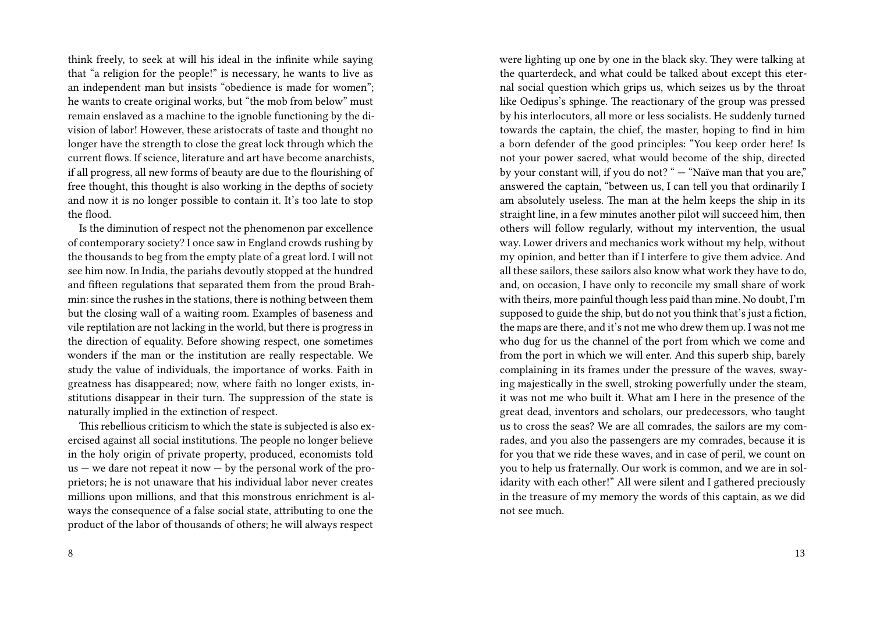think freely, to seek at will his ideal in the infinite while saying that "a religion for the people!" is necessary, he wants to live as an independent man but insists "obedience is made for women"; he wants to create original works, but "the mob from below" must remain enslaved as a machine to the ignoble functioning by the division of labor! However, these aristocrats of taste and thought no longer have the strength to close the great lock through which the current flows. If science, literature and art have become anarchists, if all progress, all new forms of beauty are due to the flourishing of free thought, this thought is also working in the depths of society and now it is no longer possible to contain it. It's too late to stop the flood.

Is the diminution of respect not the phenomenon par excellence of contemporary society? I once saw in England crowds rushing by the thousands to beg from the empty plate of a great lord. I will not see him now. In India, the pariahs devoutly stopped at the hundred and fifteen regulations that separated them from the proud Brahmin: since the rushes in the stations, there is nothing between them but the closing wall of a waiting room. Examples of baseness and vile reptilation are not lacking in the world, but there is progress in the direction of equality. Before showing respect, one sometimes wonders if the man or the institution are really respectable. We study the value of individuals, the importance of works. Faith in greatness has disappeared; now, where faith no longer exists, institutions disappear in their turn. The suppression of the state is naturally implied in the extinction of respect.

This rebellious criticism to which the state is subjected is also exercised against all social institutions. The people no longer believe in the holy origin of private property, produced, economists told  $us - we$  dare not repeat it now  $- by$  the personal work of the proprietors; he is not unaware that his individual labor never creates millions upon millions, and that this monstrous enrichment is always the consequence of a false social state, attributing to one the product of the labor of thousands of others; he will always respect were lighting up one by one in the black sky. They were talking at the quarterdeck, and what could be talked about except this eternal social question which grips us, which seizes us by the throat like Oedipus's sphinge. The reactionary of the group was pressed by his interlocutors, all more or less socialists. He suddenly turned towards the captain, the chief, the master, hoping to find in him a born defender of the good principles: "You keep order here! Is not your power sacred, what would become of the ship, directed by your constant will, if you do not? " — "Naïve man that you are," answered the captain, "between us, I can tell you that ordinarily I am absolutely useless. The man at the helm keeps the ship in its straight line, in a few minutes another pilot will succeed him, then others will follow regularly, without my intervention, the usual way. Lower drivers and mechanics work without my help, without my opinion, and better than if I interfere to give them advice. And all these sailors, these sailors also know what work they have to do, and, on occasion, I have only to reconcile my small share of work with theirs, more painful though less paid than mine. No doubt, I'm supposed to guide the ship, but do not you think that's just a fiction, the maps are there, and it's not me who drew them up. I was not me who dug for us the channel of the port from which we come and from the port in which we will enter. And this superb ship, barely complaining in its frames under the pressure of the waves, swaying majestically in the swell, stroking powerfully under the steam, it was not me who built it. What am I here in the presence of the great dead, inventors and scholars, our predecessors, who taught us to cross the seas? We are all comrades, the sailors are my comrades, and you also the passengers are my comrades, because it is for you that we ride these waves, and in case of peril, we count on you to help us fraternally. Our work is common, and we are in solidarity with each other!" All were silent and I gathered preciously in the treasure of my memory the words of this captain, as we did not see much.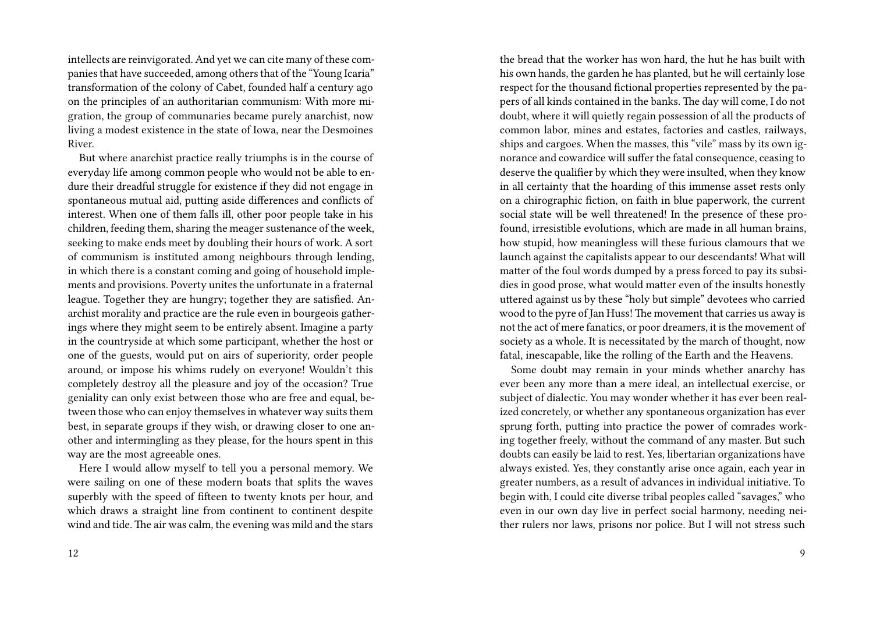intellects are reinvigorated. And yet we can cite many of these companies that have succeeded, among others that of the "Young Icaria" transformation of the colony of Cabet, founded half a century ago on the principles of an authoritarian communism: With more migration, the group of communaries became purely anarchist, now living a modest existence in the state of Iowa, near the Desmoines River.

But where anarchist practice really triumphs is in the course of everyday life among common people who would not be able to endure their dreadful struggle for existence if they did not engage in spontaneous mutual aid, putting aside differences and conflicts of interest. When one of them falls ill, other poor people take in his children, feeding them, sharing the meager sustenance of the week, seeking to make ends meet by doubling their hours of work. A sort of communism is instituted among neighbours through lending, in which there is a constant coming and going of household implements and provisions. Poverty unites the unfortunate in a fraternal league. Together they are hungry; together they are satisfied. Anarchist morality and practice are the rule even in bourgeois gatherings where they might seem to be entirely absent. Imagine a party in the countryside at which some participant, whether the host or one of the guests, would put on airs of superiority, order people around, or impose his whims rudely on everyone! Wouldn't this completely destroy all the pleasure and joy of the occasion? True geniality can only exist between those who are free and equal, between those who can enjoy themselves in whatever way suits them best, in separate groups if they wish, or drawing closer to one another and intermingling as they please, for the hours spent in this way are the most agreeable ones.

Here I would allow myself to tell you a personal memory. We were sailing on one of these modern boats that splits the waves superbly with the speed of fifteen to twenty knots per hour, and which draws a straight line from continent to continent despite wind and tide. The air was calm, the evening was mild and the stars

the bread that the worker has won hard, the hut he has built with his own hands, the garden he has planted, but he will certainly lose respect for the thousand fictional properties represented by the papers of all kinds contained in the banks. The day will come, I do not doubt, where it will quietly regain possession of all the products of common labor, mines and estates, factories and castles, railways, ships and cargoes. When the masses, this "vile" mass by its own ignorance and cowardice will suffer the fatal consequence, ceasing to deserve the qualifier by which they were insulted, when they know in all certainty that the hoarding of this immense asset rests only on a chirographic fiction, on faith in blue paperwork, the current social state will be well threatened! In the presence of these profound, irresistible evolutions, which are made in all human brains, how stupid, how meaningless will these furious clamours that we launch against the capitalists appear to our descendants! What will matter of the foul words dumped by a press forced to pay its subsidies in good prose, what would matter even of the insults honestly uttered against us by these "holy but simple" devotees who carried wood to the pyre of Jan Huss! The movement that carries us away is not the act of mere fanatics, or poor dreamers, it is the movement of society as a whole. It is necessitated by the march of thought, now fatal, inescapable, like the rolling of the Earth and the Heavens.

Some doubt may remain in your minds whether anarchy has ever been any more than a mere ideal, an intellectual exercise, or subject of dialectic. You may wonder whether it has ever been realized concretely, or whether any spontaneous organization has ever sprung forth, putting into practice the power of comrades working together freely, without the command of any master. But such doubts can easily be laid to rest. Yes, libertarian organizations have always existed. Yes, they constantly arise once again, each year in greater numbers, as a result of advances in individual initiative. To begin with, I could cite diverse tribal peoples called "savages," who even in our own day live in perfect social harmony, needing neither rulers nor laws, prisons nor police. But I will not stress such